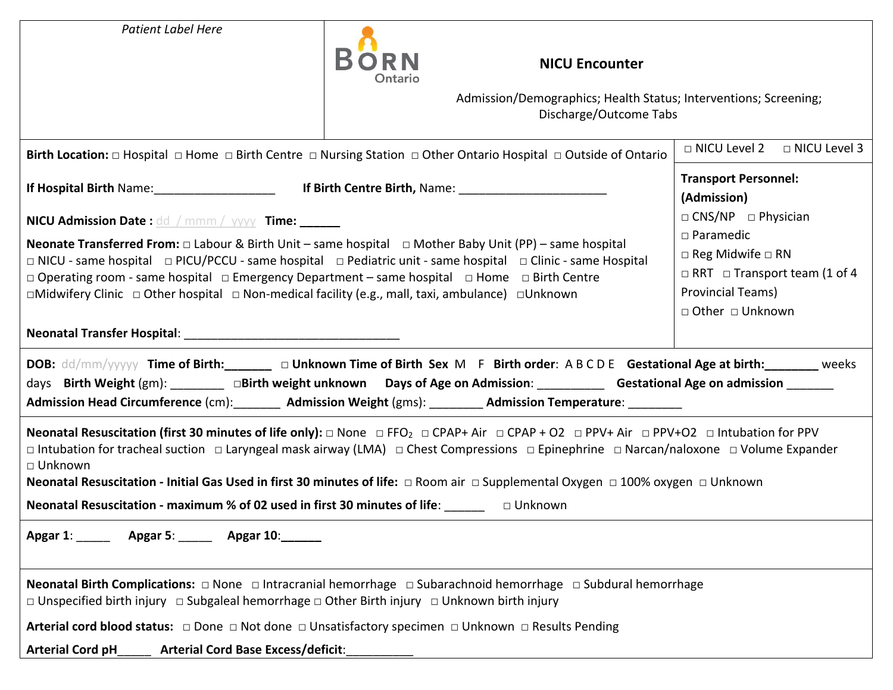| <b>Patient Label Here</b>                                                                                                                                                                                                                                                                                                                                                                                                                                                                                                                                         | <b>NICU Encounter</b><br>Ontario                                                                                                                                                                                                                                                                                                                                                                                                                                          |                                                                                                                                                                                       |
|-------------------------------------------------------------------------------------------------------------------------------------------------------------------------------------------------------------------------------------------------------------------------------------------------------------------------------------------------------------------------------------------------------------------------------------------------------------------------------------------------------------------------------------------------------------------|---------------------------------------------------------------------------------------------------------------------------------------------------------------------------------------------------------------------------------------------------------------------------------------------------------------------------------------------------------------------------------------------------------------------------------------------------------------------------|---------------------------------------------------------------------------------------------------------------------------------------------------------------------------------------|
|                                                                                                                                                                                                                                                                                                                                                                                                                                                                                                                                                                   | Admission/Demographics; Health Status; Interventions; Screening;<br>Discharge/Outcome Tabs                                                                                                                                                                                                                                                                                                                                                                                |                                                                                                                                                                                       |
|                                                                                                                                                                                                                                                                                                                                                                                                                                                                                                                                                                   | Birth Location: $\Box$ Hospital $\Box$ Home $\Box$ Birth Centre $\Box$ Nursing Station $\Box$ Other Ontario Hospital $\Box$ Outside of Ontario                                                                                                                                                                                                                                                                                                                            | □ NICU Level 2<br>□ NICU Level 3                                                                                                                                                      |
|                                                                                                                                                                                                                                                                                                                                                                                                                                                                                                                                                                   | If Hospital Birth Name: 1990 1991 11: 1991 11: 1991 11: 1991 11: 1991 11: 1991 11: 1991 11: 1991 12: 1991 12: 1                                                                                                                                                                                                                                                                                                                                                           | <b>Transport Personnel:</b><br>(Admission)                                                                                                                                            |
| NICU Admission Date : dd / mmm / yyyy Time: ______<br><b>Neonate Transferred From:</b> $\Box$ Labour & Birth Unit – same hospital $\Box$ Mother Baby Unit (PP) – same hospital<br>$\Box$ NICU - same hospital $\Box$ PICU/PCCU - same hospital $\Box$ Pediatric unit - same hospital $\Box$ Clinic - same Hospital<br>$\Box$ Operating room - same hospital $\Box$ Emergency Department – same hospital $\Box$ Home $\Box$ Birth Centre<br>$\Box$ Midwifery Clinic $\Box$ Other hospital $\Box$ Non-medical facility (e.g., mall, taxi, ambulance) $\Box$ Unknown |                                                                                                                                                                                                                                                                                                                                                                                                                                                                           | $\Box$ CNS/NP $\Box$ Physician<br>$\square$ Paramedic<br>$\Box$ Reg Midwife $\Box$ RN<br>$\Box$ RRT $\Box$ Transport team (1 of 4<br>Provincial Teams)<br>$\Box$ Other $\Box$ Unknown |
|                                                                                                                                                                                                                                                                                                                                                                                                                                                                                                                                                                   | DOB: dd/mm/yyyyyy Time of Birth: ______ a Unknown Time of Birth Sex M F Birth order: A B C D E Gestational Age at birth: _______ weeks<br>days Birth Weight (gm): ________ aBirth weight unknown Days of Age on Admission: ________ Gestational Age on admission _______<br>Admission Head Circumference (cm): ________ Admission Weight (gms): ________ Admission Temperature: _________                                                                                 |                                                                                                                                                                                       |
| □ Unknown<br><b>Neonatal Resuscitation - maximum % of 02 used in first 30 minutes of life:</b> $\square$ $\square$ $\square$ $\square$ $\square$                                                                                                                                                                                                                                                                                                                                                                                                                  | <b>Neonatal Resuscitation (first 30 minutes of life only):</b> $\Box$ None $\Box$ FFO <sub>2</sub> $\Box$ CPAP+ Air $\Box$ CPAP + O2 $\Box$ PPV+ Air $\Box$ PPV+O2 $\Box$ Intubation for PPV<br>□ Intubation for tracheal suction □ Laryngeal mask airway (LMA) □ Chest Compressions □ Epinephrine □ Narcan/naloxone □ Volume Expander<br>Neonatal Resuscitation - Initial Gas Used in first 30 minutes of life: □ Room air □ Supplemental Oxygen □ 100% oxygen □ Unknown |                                                                                                                                                                                       |
| Apgar 1: __________ Apgar 5: ________ Apgar 10: _______                                                                                                                                                                                                                                                                                                                                                                                                                                                                                                           |                                                                                                                                                                                                                                                                                                                                                                                                                                                                           |                                                                                                                                                                                       |
| $\Box$ Unspecified birth injury $\Box$ Subgaleal hemorrhage $\Box$ Other Birth injury $\Box$ Unknown birth injury                                                                                                                                                                                                                                                                                                                                                                                                                                                 | Neonatal Birth Complications: $\Box$ None $\Box$ Intracranial hemorrhage $\Box$ Subarachnoid hemorrhage $\Box$ Subdural hemorrhage                                                                                                                                                                                                                                                                                                                                        |                                                                                                                                                                                       |
|                                                                                                                                                                                                                                                                                                                                                                                                                                                                                                                                                                   | Arterial cord blood status: $\Box$ Done $\Box$ Not done $\Box$ Unsatisfactory specimen $\Box$ Unknown $\Box$ Results Pending                                                                                                                                                                                                                                                                                                                                              |                                                                                                                                                                                       |
| <b>Arterial Cord pH</b><br><b>Arterial Cord Base Excess/deficit:</b>                                                                                                                                                                                                                                                                                                                                                                                                                                                                                              |                                                                                                                                                                                                                                                                                                                                                                                                                                                                           |                                                                                                                                                                                       |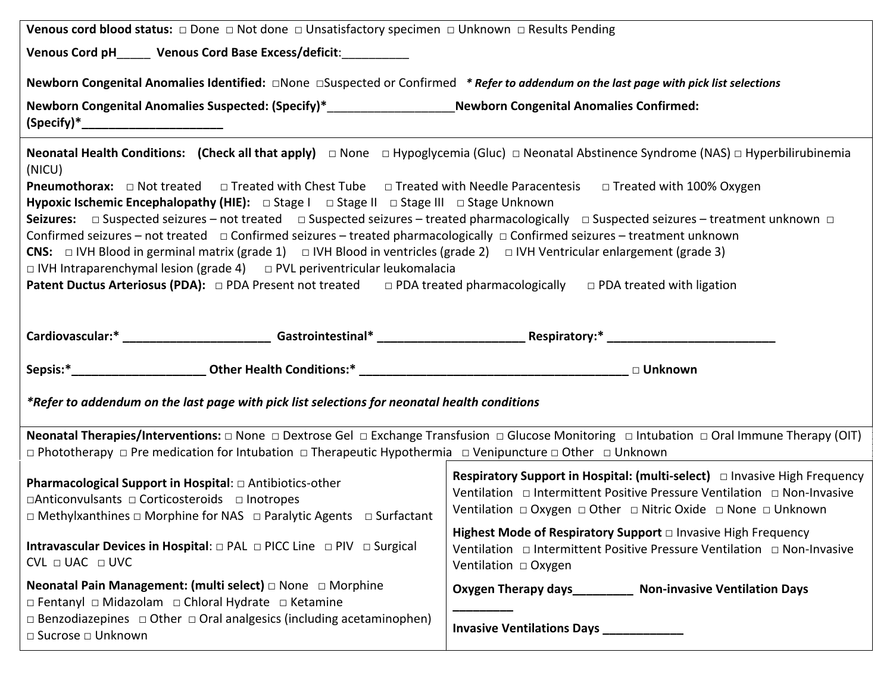| <b>Venous cord blood status:</b> $\Box$ Done $\Box$ Not done $\Box$ Unsatisfactory specimen $\Box$ Unknown $\Box$ Results Pending                                                                                                                                                                                                                                                                                                                                                                                                                                                                                                                                                                                                                                                                                                                                                                                                                                                                                                                                              |                                                                                                                                                                                                                                                      |  |  |  |
|--------------------------------------------------------------------------------------------------------------------------------------------------------------------------------------------------------------------------------------------------------------------------------------------------------------------------------------------------------------------------------------------------------------------------------------------------------------------------------------------------------------------------------------------------------------------------------------------------------------------------------------------------------------------------------------------------------------------------------------------------------------------------------------------------------------------------------------------------------------------------------------------------------------------------------------------------------------------------------------------------------------------------------------------------------------------------------|------------------------------------------------------------------------------------------------------------------------------------------------------------------------------------------------------------------------------------------------------|--|--|--|
| Venous Cord pH______ Venous Cord Base Excess/deficit:____________                                                                                                                                                                                                                                                                                                                                                                                                                                                                                                                                                                                                                                                                                                                                                                                                                                                                                                                                                                                                              |                                                                                                                                                                                                                                                      |  |  |  |
| Newborn Congenital Anomalies Suspected: (Specify)*____________________Newborn Congenital Anomalies Confirmed:                                                                                                                                                                                                                                                                                                                                                                                                                                                                                                                                                                                                                                                                                                                                                                                                                                                                                                                                                                  |                                                                                                                                                                                                                                                      |  |  |  |
| <b>Neonatal Health Conditions:</b> (Check all that apply) $\Box$ None $\Box$ Hypoglycemia (Gluc) $\Box$ Neonatal Abstinence Syndrome (NAS) $\Box$ Hyperbilirubinemia<br>(NICU)<br><b>Pneumothorax:</b> □ Not treated □ Treated with Chest Tube □ Treated with Needle Paracentesis □ Treated with 100% Oxygen<br>Hypoxic Ischemic Encephalopathy (HIE): □ Stage I □ Stage II □ Stage III □ Stage Unknown<br>Seizures: □ Suspected seizures – not treated □ Suspected seizures – treated pharmacologically □ Suspected seizures – treatment unknown □<br>Confirmed seizures - not treated $\Box$ Confirmed seizures - treated pharmacologically $\Box$ Confirmed seizures - treatment unknown<br>CNS: $\Box$ IVH Blood in germinal matrix (grade 1) $\Box$ IVH Blood in ventricles (grade 2) $\Box$ IVH Ventricular enlargement (grade 3)<br>$\Box$ IVH Intraparenchymal lesion (grade 4) $\Box$ PVL periventricular leukomalacia<br><b>Patent Ductus Arteriosus (PDA):</b> $\Box$ PDA Present not treated $\Box$ PDA treated pharmacologically $\Box$ PDA treated with ligation |                                                                                                                                                                                                                                                      |  |  |  |
|                                                                                                                                                                                                                                                                                                                                                                                                                                                                                                                                                                                                                                                                                                                                                                                                                                                                                                                                                                                                                                                                                |                                                                                                                                                                                                                                                      |  |  |  |
|                                                                                                                                                                                                                                                                                                                                                                                                                                                                                                                                                                                                                                                                                                                                                                                                                                                                                                                                                                                                                                                                                |                                                                                                                                                                                                                                                      |  |  |  |
| *Refer to addendum on the last page with pick list selections for neonatal health conditions                                                                                                                                                                                                                                                                                                                                                                                                                                                                                                                                                                                                                                                                                                                                                                                                                                                                                                                                                                                   |                                                                                                                                                                                                                                                      |  |  |  |
| <b>Neonatal Therapies/Interventions:</b> $\Box$ None $\Box$ Dextrose Gel $\Box$ Exchange Transfusion $\Box$ Glucose Monitoring $\Box$ Intubation $\Box$ Oral Immune Therapy (OIT)<br>$\Box$ Phototherapy $\Box$ Pre medication for Intubation $\Box$ Therapeutic Hypothermia $\Box$ Venipuncture $\Box$ Other $\Box$ Unknown                                                                                                                                                                                                                                                                                                                                                                                                                                                                                                                                                                                                                                                                                                                                                   |                                                                                                                                                                                                                                                      |  |  |  |
| <b>Pharmacological Support in Hospital:</b> □ Antibiotics-other<br>□Anticonvulsants □ Corticosteroids □ Inotropes<br>$\Box$ Methylxanthines $\Box$ Morphine for NAS $\Box$ Paralytic Agents $\Box$ Surfactant                                                                                                                                                                                                                                                                                                                                                                                                                                                                                                                                                                                                                                                                                                                                                                                                                                                                  | <b>Respiratory Support in Hospital: (multi-select)</b> □ Invasive High Frequency<br>Ventilation □ Intermittent Positive Pressure Ventilation □ Non-Invasive<br>Ventilation $\Box$ Oxygen $\Box$ Other $\Box$ Nitric Oxide $\Box$ None $\Box$ Unknown |  |  |  |
| Intravascular Devices in Hospital: □ PAL □ PICC Line □ PIV □ Surgical<br>$CVL \square UAC \square UVC$                                                                                                                                                                                                                                                                                                                                                                                                                                                                                                                                                                                                                                                                                                                                                                                                                                                                                                                                                                         | Highest Mode of Respiratory Support D Invasive High Frequency                                                                                                                                                                                        |  |  |  |
| <b>Neonatal Pain Management: (multi select)</b> $\Box$ None $\Box$ Morphine<br>□ Fentanyl □ Midazolam □ Chloral Hydrate □ Ketamine                                                                                                                                                                                                                                                                                                                                                                                                                                                                                                                                                                                                                                                                                                                                                                                                                                                                                                                                             | Oxygen Therapy days___________ Non-invasive Ventilation Days                                                                                                                                                                                         |  |  |  |
| $\Box$ Benzodiazepines $\Box$ Other $\Box$ Oral analgesics (including acetaminophen)<br>□ Sucrose □ Unknown                                                                                                                                                                                                                                                                                                                                                                                                                                                                                                                                                                                                                                                                                                                                                                                                                                                                                                                                                                    | <b>Invasive Ventilations Days</b>                                                                                                                                                                                                                    |  |  |  |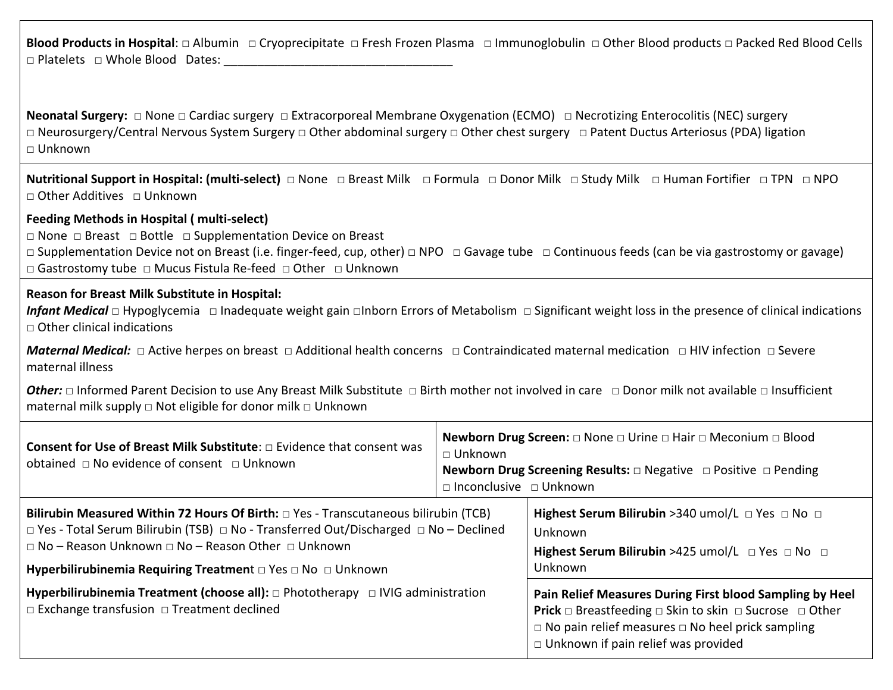**Blood Products in Hospital**: □ Albumin □ Cryoprecipitate □ Fresh Frozen Plasma □ Immunoglobulin □ Other Blood products □ Packed Red Blood Cells □ Platelets □ Whole Blood Dates:

**Neonatal Surgery:** □ None □ Cardiac surgery □ Extracorporeal Membrane Oxygenation (ECMO) □ Necrotizing Enterocolitis (NEC) surgery □ Neurosurgery/Central Nervous System Surgery □ Other abdominal surgery □ Other chest surgery □ Patent Ductus Arteriosus (PDA) ligation  $\sqcap$  Unknown

**Nutritional Support in Hospital: (multi-select)** □ None □ Breast Milk □ Formula □ Donor Milk □ Study Milk □ Human Fortifier □ TPN □ NPO □ Other Additives □ Unknown

# **Feeding Methods in Hospital ( multi-select)**

□ None □ Breast □ Bottle □ Supplementation Device on Breast

□ Supplementation Device not on Breast (i.e. finger-feed, cup, other) □ NPO □ Gavage tube □ Continuous feeds (can be via gastrostomy or gavage) □ Gastrostomy tube □ Mucus Fistula Re-feed □ Other □ Unknown

# **Reason for Breast Milk Substitute in Hospital:**

*Infant Medical* □ Hypoglycemia □ Inadequate weight gain □Inborn Errors of Metabolism □ Significant weight loss in the presence of clinical indications  $\Box$  Other clinical indications

*Maternal Medical:* □ Active herpes on breast □ Additional health concerns □ Contraindicated maternal medication □ HIV infection □ Severe maternal illness

**Other:** □ Informed Parent Decision to use Any Breast Milk Substitute □ Birth mother not involved in care □ Donor milk not available □ Insufficient maternal milk supply □ Not eligible for donor milk □ Unknown

| <b>Consent for Use of Breast Milk Substitute:</b> $\Box$ Evidence that consent was                                                                 | $\Box$ Unknown                     | <b>Newborn Drug Screen:</b> $\Box$ None $\Box$ Urine $\Box$ Hair $\Box$ Meconium $\Box$ Blood                                                                                                                                                               |
|----------------------------------------------------------------------------------------------------------------------------------------------------|------------------------------------|-------------------------------------------------------------------------------------------------------------------------------------------------------------------------------------------------------------------------------------------------------------|
| obtained $\Box$ No evidence of consent $\Box$ Unknown                                                                                              | $\Box$ Inconclusive $\Box$ Unknown | <b>Newborn Drug Screening Results:</b> □ Negative □ Positive □ Pending                                                                                                                                                                                      |
| Bilirubin Measured Within 72 Hours Of Birth: $\Box$ Yes - Transcutaneous bilirubin (TCB)                                                           |                                    | Highest Serum Bilirubin > 340 umol/L $\Box$ Yes $\Box$ No $\Box$                                                                                                                                                                                            |
| $\Box$ Yes - Total Serum Bilirubin (TSB) $\Box$ No - Transferred Out/Discharged $\Box$ No - Declined                                               |                                    | Unknown                                                                                                                                                                                                                                                     |
| $\Box$ No – Reason Unknown $\Box$ No – Reason Other $\Box$ Unknown                                                                                 |                                    | Highest Serum Bilirubin >425 umol/L $\Box$ Yes $\Box$ No $\Box$                                                                                                                                                                                             |
| Hyperbilirubinemia Requiring Treatment $\Box$ Yes $\Box$ No $\Box$ Unknown                                                                         |                                    | Unknown                                                                                                                                                                                                                                                     |
| Hyperbilirubinemia Treatment (choose all): $\Box$ Phototherapy $\Box$ IVIG administration<br>$\Box$ Exchange transfusion $\Box$ Treatment declined |                                    | Pain Relief Measures During First blood Sampling by Heel<br><b>Prick</b> $\Box$ Breastfeeding $\Box$ Skin to skin $\Box$ Sucrose $\Box$ Other<br>$\Box$ No pain relief measures $\Box$ No heel prick sampling<br>$\Box$ Unknown if pain relief was provided |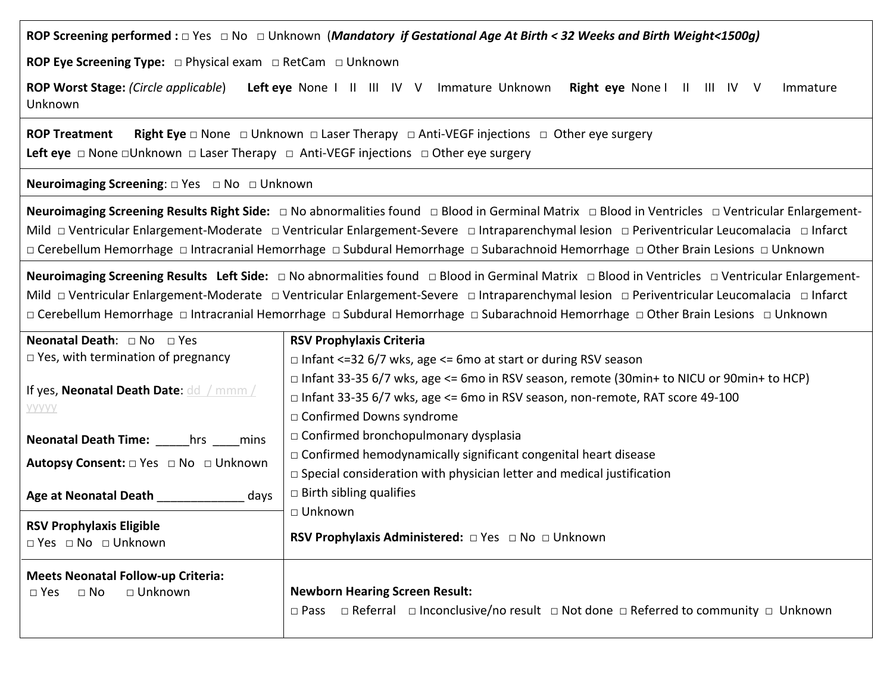**ROP Screening performed :** □ Yes □ No □ Unknown (*Mandatory if Gestational Age At Birth < 32 Weeks and Birth Weight<1500g)*

**ROP Eye Screening Type:** □ Physical exam □ RetCam □ Unknown

**ROP Worst Stage:** *(Circle applicable*) **Left eye** None I II III IV VImmatureUnknown **Right eye** None I II III IV V Immature Unknown

**ROP Treatment Right Eye** □ None □ Unknown □ Laser Therapy □ Anti-VEGF injections □ Other eye surgery Left eye □ None □Unknown □ Laser Therapy □ Anti-VEGF injections □ Other eye surgery

## **Neuroimaging Screening:** □ Yes □ No □ Unknown

**Neuroimaging Screening Results Right Side:** □ No abnormalities found□ Blood in Germinal Matrix□ Blood in Ventricles □ Ventricular Enlargement-Mild □ Ventricular Enlargement-Moderate □ Ventricular Enlargement-Severe □ Intraparenchymal lesion □ Periventricular Leucomalacia □ Infarct □ Cerebellum Hemorrhage □ Intracranial Hemorrhage □ Subdural Hemorrhage □ Subarachnoid Hemorrhage □ Other Brain Lesions □ Unknown

**Neuroimaging Screening Results Left Side:** □ No abnormalities found□ Blood in Germinal Matrix□ Blood in Ventricles □ Ventricular Enlargement-Mild □ Ventricular Enlargement-Moderate□ Ventricular Enlargement-Severe □ Intraparenchymal lesion □ Periventricular Leucomalacia □ Infarct □ Cerebellum Hemorrhage □ Intracranial Hemorrhage □ Subdural Hemorrhage □ Subarachnoid Hemorrhage □ Other Brain Lesions □ Unknown

| <b>Neonatal Death:</b> $\Box$ No $\Box$ Yes                                          | <b>RSV Prophylaxis Criteria</b>                                                                                                                                                                                 |
|--------------------------------------------------------------------------------------|-----------------------------------------------------------------------------------------------------------------------------------------------------------------------------------------------------------------|
| $\Box$ Yes, with termination of pregnancy                                            | $\Box$ Infant <=32 6/7 wks, age <= 6mo at start or during RSV season                                                                                                                                            |
| If yes, Neonatal Death Date: dd / mmm /<br><b>YYYYY</b>                              | $\Box$ Infant 33-35 6/7 wks, age <= 6mo in RSV season, remote (30min+ to NICU or 90min+ to HCP)<br>□ Infant 33-35 6/7 wks, age <= 6mo in RSV season, non-remote, RAT score 49-100<br>□ Confirmed Downs syndrome |
| Neonatal Death Time: _____hrs ____mins                                               | $\Box$ Confirmed bronchopulmonary dysplasia                                                                                                                                                                     |
| <b>Autopsy Consent:</b> □ Yes □ No □ Unknown                                         | $\Box$ Confirmed hemodynamically significant congenital heart disease                                                                                                                                           |
|                                                                                      | $\Box$ Special consideration with physician letter and medical justification                                                                                                                                    |
| Age at Neonatal Death<br>days                                                        | $\Box$ Birth sibling qualifies                                                                                                                                                                                  |
|                                                                                      | □ Unknown                                                                                                                                                                                                       |
| <b>RSV Prophylaxis Eligible</b><br>$\Box$ Yes $\Box$ No $\Box$ Unknown               | <b>RSV Prophylaxis Administered:</b> □ Yes □ No □ Unknown                                                                                                                                                       |
| <b>Meets Neonatal Follow-up Criteria:</b><br>□ Unknown<br>$\square$ No<br>$\Box$ Yes | <b>Newborn Hearing Screen Result:</b><br>$\Box$ Referral $\Box$ Inconclusive/no result $\Box$ Not done $\Box$ Referred to community $\Box$ Unknown<br>$\square$ Pass                                            |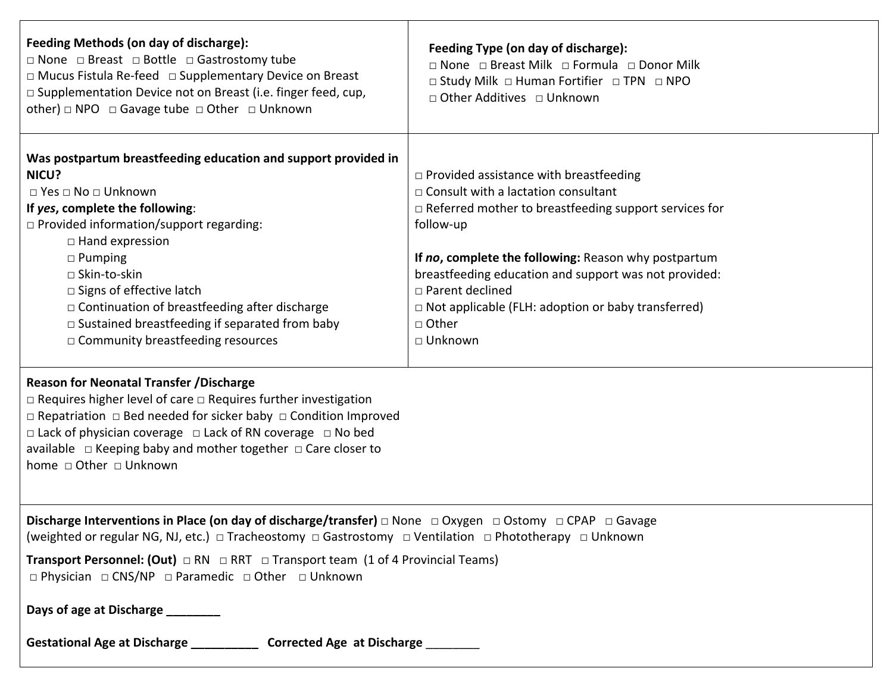| Feeding Methods (on day of discharge):<br>$\Box$ None $\Box$ Breast $\Box$ Bottle $\Box$ Gastrostomy tube<br>□ Mucus Fistula Re-feed □ Supplementary Device on Breast<br>□ Supplementation Device not on Breast (i.e. finger feed, cup,<br>other) $\Box$ NPO $\Box$ Gavage tube $\Box$ Other $\Box$ Unknown                                                                                                                                                                                                                                                                                                                                                                                                                                                                    | Feeding Type (on day of discharge):<br>□ None □ Breast Milk □ Formula □ Donor Milk<br>□ Study Milk □ Human Fortifier □ TPN □ NPO<br>$\Box$ Other Additives $\Box$ Unknown                                                                                                                                                                                                                           |
|--------------------------------------------------------------------------------------------------------------------------------------------------------------------------------------------------------------------------------------------------------------------------------------------------------------------------------------------------------------------------------------------------------------------------------------------------------------------------------------------------------------------------------------------------------------------------------------------------------------------------------------------------------------------------------------------------------------------------------------------------------------------------------|-----------------------------------------------------------------------------------------------------------------------------------------------------------------------------------------------------------------------------------------------------------------------------------------------------------------------------------------------------------------------------------------------------|
| Was postpartum breastfeeding education and support provided in<br>NICU?<br>$\Box$ Yes $\Box$ No $\Box$ Unknown<br>If yes, complete the following:<br>□ Provided information/support regarding:<br>$\Box$ Hand expression<br>$\Box$ Pumping<br>□ Skin-to-skin<br>□ Signs of effective latch<br>$\Box$ Continuation of breastfeeding after discharge<br>$\Box$ Sustained breastfeeding if separated from baby<br>□ Community breastfeeding resources<br><b>Reason for Neonatal Transfer / Discharge</b><br>$\Box$ Requires higher level of care $\Box$ Requires further investigation<br>$\Box$ Repatriation $\Box$ Bed needed for sicker baby $\Box$ Condition Improved<br>$\Box$ Lack of physician coverage $\Box$ Lack of RN coverage $\Box$ No bed<br>home □ Other □ Unknown | $\Box$ Provided assistance with breastfeeding<br>$\Box$ Consult with a lactation consultant<br>$\Box$ Referred mother to breastfeeding support services for<br>follow-up<br>If no, complete the following: Reason why postpartum<br>breastfeeding education and support was not provided:<br>□ Parent declined<br>$\Box$ Not applicable (FLH: adoption or baby transferred)<br>□ Other<br>□ Unknown |
| Discharge Interventions in Place (on day of discharge/transfer) $\Box$ None $\Box$ Oxygen $\Box$ Ostomy $\Box$ CPAP $\Box$ Gavage<br>(weighted or regular NG, NJ, etc.) □ Tracheostomy □ Gastrostomy □ Ventilation □ Phototherapy □ Unknown<br><b>Transport Personnel: (Out)</b> $\Box$ RN $\Box$ RRT $\Box$ Transport team (1 of 4 Provincial Teams)                                                                                                                                                                                                                                                                                                                                                                                                                          |                                                                                                                                                                                                                                                                                                                                                                                                     |
| $\Box$ Physician $\Box$ CNS/NP $\Box$ Paramedic $\Box$ Other $\Box$ Unknown<br>Days of age at Discharge<br>Gestational Age at Discharge ______________ Corrected Age at Discharge _________                                                                                                                                                                                                                                                                                                                                                                                                                                                                                                                                                                                    |                                                                                                                                                                                                                                                                                                                                                                                                     |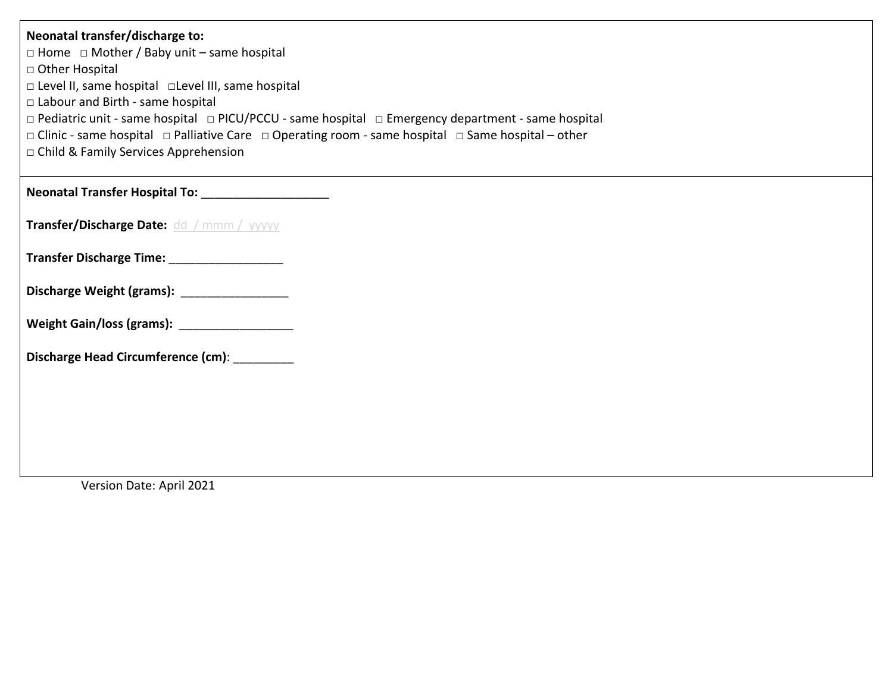| Neonatal transfer/discharge to:<br>$\Box$ Home $\Box$ Mother / Baby unit – same hospital<br>□ Other Hospital<br>□ Level II, same hospital □ Level III, same hospital<br>□ Labour and Birth - same hospital<br>□ Pediatric unit - same hospital □ PICU/PCCU - same hospital □ Emergency department - same hospital<br>$\Box$ Clinic - same hospital $\Box$ Palliative Care $\Box$ Operating room - same hospital $\Box$ Same hospital – other<br>□ Child & Family Services Apprehension |
|----------------------------------------------------------------------------------------------------------------------------------------------------------------------------------------------------------------------------------------------------------------------------------------------------------------------------------------------------------------------------------------------------------------------------------------------------------------------------------------|
| Neonatal Transfer Hospital To: ______________________                                                                                                                                                                                                                                                                                                                                                                                                                                  |
| Transfer/Discharge Date: dd / mmm / yyyyy                                                                                                                                                                                                                                                                                                                                                                                                                                              |
| Transfer Discharge Time: ____________________                                                                                                                                                                                                                                                                                                                                                                                                                                          |
| Discharge Weight (grams): _________________                                                                                                                                                                                                                                                                                                                                                                                                                                            |
| Weight Gain/loss (grams): Weight Gain/loss (grams):                                                                                                                                                                                                                                                                                                                                                                                                                                    |
| Discharge Head Circumference (cm): _________                                                                                                                                                                                                                                                                                                                                                                                                                                           |
|                                                                                                                                                                                                                                                                                                                                                                                                                                                                                        |
|                                                                                                                                                                                                                                                                                                                                                                                                                                                                                        |
|                                                                                                                                                                                                                                                                                                                                                                                                                                                                                        |

Version Date: April 2021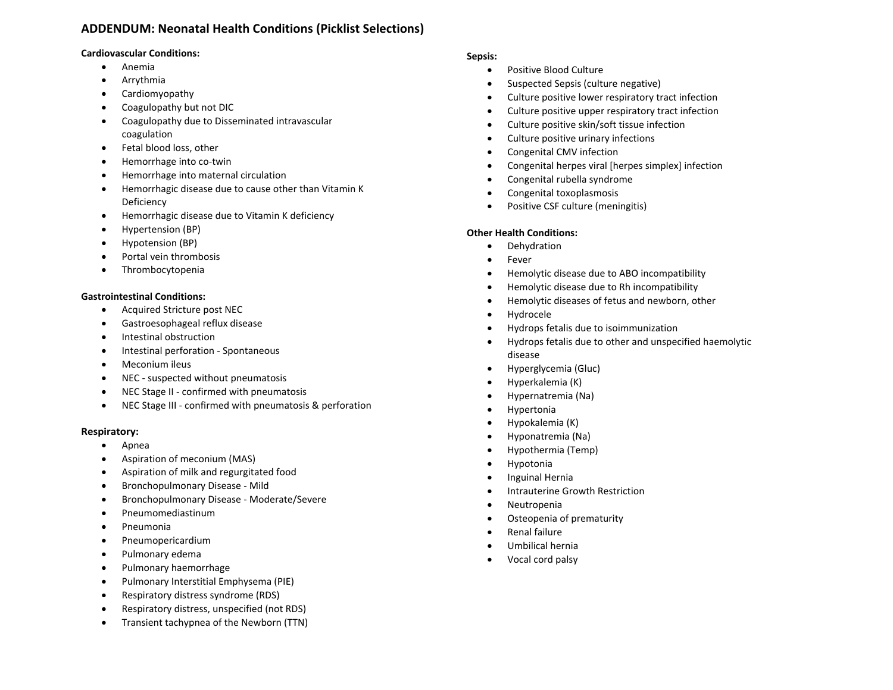## **ADDENDUM: Neonatal Health Conditions (Picklist Selections)**

### **Cardiovascular Conditions:**

- Anemia
- Arrythmia
- Cardiomyopathy
- Coagulopathy but not DIC
- Coagulopathy due to Disseminated intravascular coagulation
- Fetal blood loss, other
- Hemorrhage into co-twin
- Hemorrhage into maternal circulation
- Hemorrhagic disease due to cause other than Vitamin K Deficiency
- Hemorrhagic disease due to Vitamin K deficiency
- Hypertension (BP)
- Hypotension (BP)
- Portal vein thrombosis
- Thrombocytopenia

## **Gastrointestinal Conditions:**

- Acquired Stricture post NEC
- Gastroesophageal reflux disease
- Intestinal obstruction
- Intestinal perforation ‐ Spontaneous
- Meconium ileus
- NEC suspected without pneumatosis
- NEC Stage II confirmed with pneumatosis
- NEC Stage III ‐ confirmed with pneumatosis & perforation

### **Respiratory:**

- Apnea
- Aspiration of meconium (MAS)
- Aspiration of milk and regurgitated food
- Bronchopulmonary Disease ‐ Mild
- Bronchopulmonary Disease ‐ Moderate/Severe
- Pneumomediastinum
- Pneumonia
- Pneumopericardium
- Pulmonary edema
- Pulmonary haemorrhage
- Pulmonary Interstitial Emphysema (PIE)
- Respiratory distress syndrome (RDS)
- Respiratory distress, unspecified (not RDS)
- Transient tachypnea of the Newborn (TTN)

## **Sepsis:**

- Positive Blood Culture
- Suspected Sepsis (culture negative)
- Culture positive lower respiratory tract infection
- Culture positive upper respiratory tract infection
- Culture positive skin/soft tissue infection
- Culture positive urinary infections
- Congenital CMV infection
- Congenital herpes viral [herpes simplex] infection
- Congenital rubella syndrome
- Congenital toxoplasmosis
- Positive CSF culture (meningitis)

## **Other Health Conditions:**

- Dehydration
- Fever
- Hemolytic disease due to ABO incompatibility
- Hemolytic disease due to Rh incompatibility
- Hemolytic diseases of fetus and newborn, other
- Hydrocele
- Hydrops fetalis due to isoimmunization
- Hydrops fetalis due to other and unspecified haemolytic disease
- Hyperglycemia (Gluc)
- Hyperkalemia (K)
- Hypernatremia (Na)
- Hypertonia
- Hypokalemia (K)
- Hyponatremia (Na)
- Hypothermia (Temp)
- Hypotonia
- Inguinal Hernia
- Intrauterine Growth Restriction
- Neutropenia
- Osteopenia of prematurity
- Renal failure
- Umbilical hernia
- Vocal cord palsy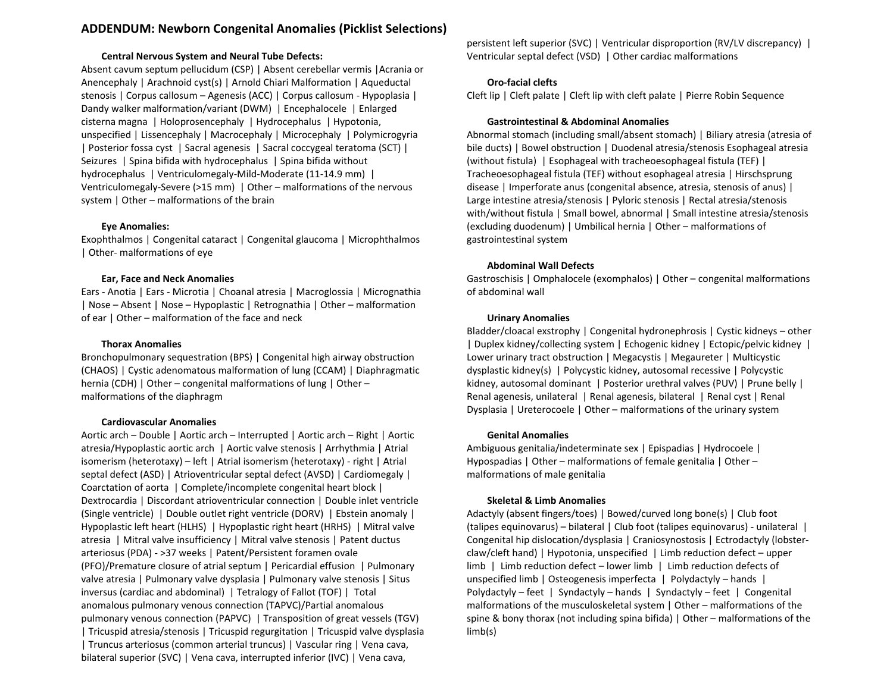## **ADDENDUM: Newborn Congenital Anomalies (Picklist Selections)**

#### **Central Nervous System and Neural Tube Defects:**

Absent cavum septum pellucidum (CSP) | Absent cerebellar vermis |Acrania or Anencephaly | Arachnoid cyst(s) | Arnold Chiari Malformation | Aqueductal stenosis | Corpus callosum – Agenesis (ACC) | Corpus callosum - Hypoplasia | Dandy walker malformation/variant (DWM) | Encephalocele | Enlarged cisterna magna | Holoprosencephaly | Hydrocephalus | Hypotonia, unspecified | Lissencephaly | Macrocephaly | Microcephaly | Polymicrogyria | Posterior fossa cyst | Sacral agenesis | Sacral coccygeal teratoma (SCT) | Seizures | Spina bifida with hydrocephalus | Spina bifida without hydrocephalus | Ventriculomegaly-Mild-Moderate (11-14.9 mm) | Ventriculomegaly-Severe (>15 mm) | Other – malformations of the nervous system | Other – malformations of the brain

#### **Eye Anomalies:**

Exophthalmos | Congenital cataract | Congenital glaucoma | Microphthalmos | Other- malformations of eye

### **Ear, Face and Neck Anomalies**

Ears - Anotia | Ears - Microtia | Choanal atresia | Macroglossia | Micrognathia | Nose – Absent | Nose – Hypoplastic | Retrognathia | Other – malformation of ear | Other – malformation of the face and neck

#### **Thorax Anomalies**

Bronchopulmonary sequestration (BPS) | Congenital high airway obstruction (CHAOS) | Cystic adenomatous malformation of lung (CCAM) | Diaphragmatic hernia (CDH) | Other – congenital malformations of lung | Other – malformations of the diaphragm

### **Cardiovascular Anomalies**

Aortic arch – Double | Aortic arch – Interrupted | Aortic arch – Right | Aortic atresia/Hypoplastic aortic arch | Aortic valve stenosis | Arrhythmia | Atrial isomerism (heterotaxy) – left | Atrial isomerism (heterotaxy) - right | Atrial septal defect (ASD) | Atrioventricular septal defect (AVSD) | Cardiomegaly | Coarctation of aorta | Complete/incomplete congenital heart block | Dextrocardia | Discordant atrioventricular connection | Double inlet ventricle (Single ventricle) | Double outlet right ventricle (DORV) | Ebstein anomaly | Hypoplastic left heart (HLHS) | Hypoplastic right heart (HRHS) | Mitral valve atresia | Mitral valve insufficiency | Mitral valve stenosis | Patent ductus arteriosus (PDA) - >37 weeks | Patent/Persistent foramen ovale (PFO)/Premature closure of atrial septum | Pericardial effusion | Pulmonary valve atresia | Pulmonary valve dysplasia | Pulmonary valve stenosis | Situs inversus (cardiac and abdominal) | Tetralogy of Fallot (TOF) | Total anomalous pulmonary venous connection (TAPVC)/Partial anomalous pulmonary venous connection (PAPVC) | Transposition of great vessels (TGV) | Tricuspid atresia/stenosis | Tricuspid regurgitation | Tricuspid valve dysplasia | Truncus arteriosus (common arterial truncus) | Vascular ring | Vena cava, bilateral superior (SVC) | Vena cava, interrupted inferior (IVC) | Vena cava,

persistent left superior (SVC) | Ventricular disproportion (RV/LV discrepancy) | Ventricular septal defect (VSD) | Other cardiac malformations

### **Oro-facial clefts**

Cleft lip | Cleft palate | Cleft lip with cleft palate | Pierre Robin Sequence

#### **Gastrointestinal & Abdominal Anomalies**

Abnormal stomach (including small/absent stomach) | Biliary atresia (atresia of bile ducts) | Bowel obstruction | Duodenal atresia/stenosis Esophageal atresia (without fistula) | Esophageal with tracheoesophageal fistula (TEF) | Tracheoesophageal fistula (TEF) without esophageal atresia | Hirschsprung disease | Imperforate anus (congenital absence, atresia, stenosis of anus) | Large intestine atresia/stenosis | Pyloric stenosis | Rectal atresia/stenosis with/without fistula | Small bowel, abnormal | Small intestine atresia/stenosis (excluding duodenum) | Umbilical hernia | Other – malformations of gastrointestinal system

#### **Abdominal Wall Defects**

Gastroschisis | Omphalocele (exomphalos) | Other – congenital malformations of abdominal wall

#### **Urinary Anomalies**

Bladder/cloacal exstrophy | Congenital hydronephrosis | Cystic kidneys – other | Duplex kidney/collecting system | Echogenic kidney | Ectopic/pelvic kidney | Lower urinary tract obstruction | Megacystis | Megaureter | Multicystic dysplastic kidney(s) | Polycystic kidney, autosomal recessive | Polycystic kidney, autosomal dominant | Posterior urethral valves (PUV) | Prune belly | Renal agenesis, unilateral | Renal agenesis, bilateral | Renal cyst | Renal Dysplasia | Ureterocoele | Other – malformations of the urinary system

#### **Genital Anomalies**

Ambiguous genitalia/indeterminate sex | Epispadias | Hydrocoele | Hypospadias | Other – malformations of female genitalia | Other – malformations of male genitalia

### **Skeletal & Limb Anomalies**

Adactyly (absent fingers/toes) | Bowed/curved long bone(s) | Club foot (talipes equinovarus) – bilateral | Club foot (talipes equinovarus) - unilateral | Congenital hip dislocation/dysplasia | Craniosynostosis | Ectrodactyly (lobsterclaw/cleft hand) | Hypotonia, unspecified | Limb reduction defect – upper limb | Limb reduction defect – lower limb | Limb reduction defects of unspecified limb | Osteogenesis imperfecta | Polydactyly – hands | Polydactyly – feet | Syndactyly – hands | Syndactyly – feet | Congenital malformations of the musculoskeletal system | Other – malformations of the spine & bony thorax (not including spina bifida) | Other – malformations of the limb(s)